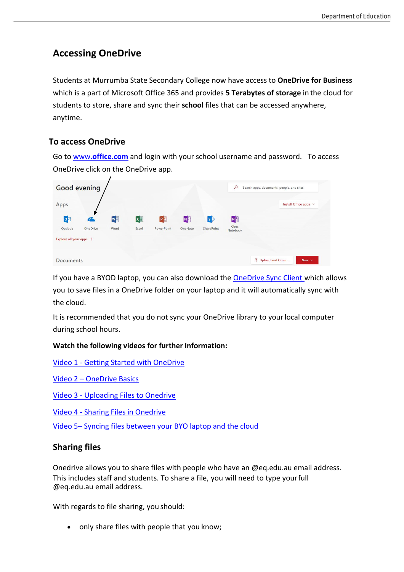# **Accessing OneDrive**

Students at Murrumba State Secondary College now have access to **OneDrive for Business** which is a part of Microsoft Office 365 and provides **5 Terabytes of storage** in the cloud for students to store, share and sync their **school** files that can be accessed anywhere, anytime.

### **To access OneDrive**

Go to www.**[office.com](http://www.office.com/)** and login with your school username and password. To access OneDrive click on the OneDrive app.

| <b>Good evening</b>                 |          |      |          |            | $\circ$<br>Search apps, documents, people, and sites |            |                   |                                                |
|-------------------------------------|----------|------|----------|------------|------------------------------------------------------|------------|-------------------|------------------------------------------------|
| Apps                                |          |      |          |            |                                                      |            |                   | Install Office apps $\vee$                     |
| $\circ$                             |          | W    | $x \Box$ | PE         | N                                                    | $\ket{5}$  | N <sub>2</sub>    |                                                |
| Outlook                             | OneDrive | Word | Excel    | PowerPoint | OneNote                                              | SharePoint | Class<br>Notebook |                                                |
| Explore all your apps $\rightarrow$ |          |      |          |            |                                                      |            |                   |                                                |
| <b>Documents</b>                    |          |      |          |            |                                                      |            |                   | $\bar{\uparrow}$ Upload and Open<br>New $\sim$ |

If you have a BYOD laptop, you can also download the [OneDrive Sync Client w](https://go.microsoft.com/fwlink/p/?linkid=844652)hich allows you to save files in a OneDrive folder on your laptop and it will automatically sync with the cloud.

It is recommended that you do not sync your OneDrive library to yourlocal computer during school hours.

#### **Watch the following videos for further information:**

Video 1 - [Getting Started with OneDrive](https://support.office.com/en-us/article/video-what-is-onedrive-work-or-school-10f5c3fd-b0f6-40e2-9059-04735ffe01b7?ui=en-US&rs=en-US&ad=US)

Video 2 – [OneDrive Basics](https://support.office.com/en-us/article/video-onedrive-basics-work-or-school-110ca7b0-ae3d-4e51-a14c-9d583e2d630c?ui=en-US&rs=en-US&ad=US)

Video 3 - [Uploading Files to Onedrive](https://support.office.com/en-us/article/video-upload-files-and-folders-in-onedrive-work-or-school-5bd927ad-d186-495c-93e8-7ca116fe7b83?ui=en-US&rs=en-US&ad=US)

Video 4 - [Sharing Files in Onedrive](https://support.office.com/en-us/article/video-share-files-and-folders-with-office-365-72f26d6c-bf9e-432c-8b96-e3c2437f5b65?ui=en-US&rs=en-US&ad=US%0c)

Video 5– [Syncing files between your BYO laptop and the cloud](https://support.office.com/en-us/article/video-sync-onedrive-files-and-folders-3b8246e0-cc3c-4ae7-b4e1-4b4b37d27f68?ui=en-US&rs=en-US&ad=US)

#### **Sharing files**

Onedrive allows you to share files with people who have an @eq.edu.au email address. This includes staff and students. To share a file, you will need to type yourfull @eq.edu.au email address.

With regards to file sharing, you should:

• only share files with people that you know;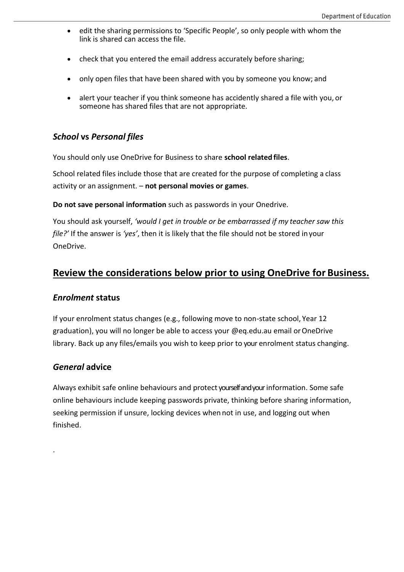- edit the sharing permissions to 'Specific People', so only people with whom the link is shared can access the file.
- check that you entered the email address accurately before sharing;
- only open files that have been shared with you by someone you know; and
- alert your teacher if you think someone has accidently shared a file with you, or someone has shared files that are not appropriate.

## *School* **vs** *Personal files*

You should only use OneDrive for Business to share **school related files**.

School related files include those that are created for the purpose of completing a class activity or an assignment. – **not personal movies or games**.

**Do not save personal information** such as passwords in your Onedrive.

You should ask yourself, *'would I get in trouble or be embarrassed if my teacher saw this file?'* If the answer is *'yes'*, then it is likely that the file should not be stored inyour OneDrive.

# **Review the considerations below prior to using OneDrive for Business.**

#### *Enrolment* **status**

If your enrolment status changes (e.g., following move to non-state school, Year 12 graduation), you will no longer be able to access your @eq.edu.au email orOneDrive library. Back up any files/emails you wish to keep prior to your enrolment status changing.

### *General* **advice**

.

Always exhibit safe online behaviours and protect yourself and yourinformation. Some safe online behaviours include keeping passwords private, thinking before sharing information, seeking permission if unsure, locking devices when not in use, and logging out when finished.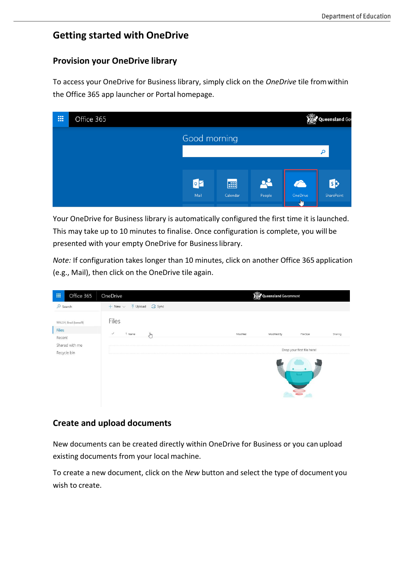# **Getting started with OneDrive**

#### **Provision your OneDrive library**

To access your OneDrive for Business library, simply click on the *OneDrive* tile fromwithin the Office 365 app launcher or Portal homepage.

| 冊 | Office 365 |                          |          |        | 趣                      | Queensland Gov |
|---|------------|--------------------------|----------|--------|------------------------|----------------|
|   |            | Good morning             |          |        |                        |                |
|   |            |                          |          |        |                        | م              |
|   |            |                          |          |        |                        |                |
|   |            | $\circ$ $\triangleright$ | 團        | 22     | $\bullet$              | $\mathbf{S}$   |
|   |            | Mail                     | Calendar | People | OneDrive<br>$\sqrt{m}$ | SharePoint     |

Your OneDrive for Business library is automatically configured the first time it islaunched. This may take up to 10 minutes to finalise. Once configuration is complete, you will be presented with your empty OneDrive for Businesslibrary.

*Note:* If configuration takes longer than 10 minutes, click on another Office 365 application (e.g., Mail), then click on the OneDrive tile again.

| 冊<br>Office 365               | OneDrive                                                 | Queensland Government                           |
|-------------------------------|----------------------------------------------------------|-------------------------------------------------|
| $O$ Search                    | $\bar{\uparrow}$ Upload $\bar{G}$ Sync<br>$+$ New $\vee$ |                                                 |
| WALSH, Brad (bxwal9)<br>Files | Files                                                    |                                                 |
| Recent                        | $\checkmark$<br>$\overline{\mathbb{C}}$<br>1 Name        | Modified<br>Modified By<br>File Size<br>Sharing |
| Shared with me                |                                                          |                                                 |
| Recycle bin                   |                                                          | Drop your first file here!                      |
|                               |                                                          | $\equiv$                                        |

### **Create and upload documents**

New documents can be created directly within OneDrive for Business or you can upload existing documents from your local machine.

To create a new document, click on the *New* button and select the type of document you wish to create.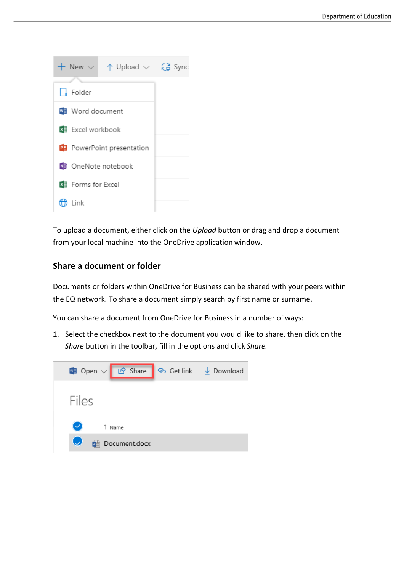

To upload a document, either click on the *Upload* button or drag and drop a document from your local machine into the OneDrive application window.

### **Share a document or folder**

Documents or folders within OneDrive for Business can be shared with your peers within the EQ network. To share a document simply search by first name or surname.

You can share a document from OneDrive for Business in a number of ways:

1. Select the checkbox next to the document you would like to share, then click on the *Share* button in the toolbar, fill in the options and click *Share.*

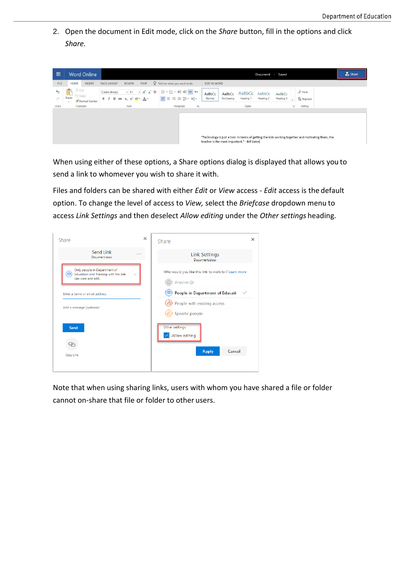2. Open the document in Edit mode, click on the *Share* button, fill in the options and click *Share.*

| <b>HOME</b><br>FILE<br>INSERT<br>X Cut<br>$\frac{1}{\sqrt{2}}$<br>$\triangleright$<br><b>Dig</b> Copy<br>Paste<br>ð<br>Format Painter<br>$\overline{\phantom{a}}$<br>Undo<br>Clipboard | $Q$ Tell me what you want to do<br>VIEW<br>PAGE LAYOUT<br>REVIEW<br><b>IE·旧·在在M 14</b><br>$-11$<br>$- A A B$<br>Calibri (Body)<br>■ 事 事 事 事 種* 種*<br>B $I \perp A \neq X$ , $X^2 \rightarrow A$ | EDIT IN WORD<br>$\rho$ Find<br>AaBbCc<br>AaBbCc<br>AaBbCc<br>AaBbCc<br>AaBbCc<br>Heading 3<br>ab <sub>c</sub> Replace<br>Normal<br>No Spacing<br>Heading 2<br>Heading 1<br>٠ |  |
|----------------------------------------------------------------------------------------------------------------------------------------------------------------------------------------|-------------------------------------------------------------------------------------------------------------------------------------------------------------------------------------------------|------------------------------------------------------------------------------------------------------------------------------------------------------------------------------|--|
|                                                                                                                                                                                        |                                                                                                                                                                                                 |                                                                                                                                                                              |  |
|                                                                                                                                                                                        |                                                                                                                                                                                                 |                                                                                                                                                                              |  |
|                                                                                                                                                                                        | Font<br>Paragraph                                                                                                                                                                               | $\sqrt{2}$<br>$\overline{\mathbf{S}}$<br>Editing<br>Styles                                                                                                                   |  |
|                                                                                                                                                                                        |                                                                                                                                                                                                 | "Technology is just a tool. In terms of getting the kids working together and motivating them, the<br>teacher is the most important." - Bill Gates                           |  |

When using either of these options, a Share options dialog is displayed that allows you to send a link to whomever you wish to share it with.

Files and folders can be shared with either *Edit* or *View* access - *Edit* access is the default option. To change the level of access to *View,* select the *Briefcase* dropdown menu to access *Link Settings* and then deselect *Allow editing* under the *Other settings* heading.

| Share                                                                                           | $\times$ | Share                                                | × |
|-------------------------------------------------------------------------------------------------|----------|------------------------------------------------------|---|
| Send Link<br>.<br>Document.docx                                                                 |          | <b>Link Settings</b><br>Document.docx                |   |
| Only people in Department of<br>e<br>Education and Training with the link<br>can view and edit. |          | Who would you like this link to work for? Learn more |   |
|                                                                                                 |          | Anyone <sub>O</sub>                                  |   |
| Enter a name or email address                                                                   |          | People in Department of Educati-<br>✓                |   |
| Add a message (optional)                                                                        |          | People with existing access                          |   |
|                                                                                                 |          | Specific people                                      |   |
| Send                                                                                            |          | Other settings                                       |   |
|                                                                                                 |          | Allow editing                                        |   |
| <u>.G.</u>                                                                                      |          |                                                      |   |
| Copy Link                                                                                       |          | Apply<br>Cancel                                      |   |
|                                                                                                 |          |                                                      |   |
|                                                                                                 |          |                                                      |   |

Note that when using sharing links, users with whom you have shared a file or folder cannot on-share that file or folder to other users.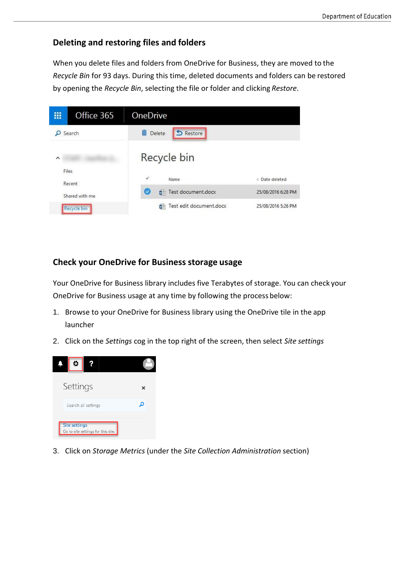## **Deleting and restoring files and folders**

When you delete files and folders from OneDrive for Business, they are moved to the *Recycle Bin* for 93 days. During this time, deleted documents and folders can be restored by opening the *Recycle Bin*, selecting the file or folder and clicking *Restore*.



## **Check your OneDrive for Business storage usage**

Your OneDrive for Business library includes five Terabytes of storage. You can check your OneDrive for Business usage at any time by following the process below:

- 1. Browse to your OneDrive for Business library using the OneDrive tile in the app launcher
- 2. Click on the *Settings* cog in the top right of the screen, then select *Site settings*



3. Click on *Storage Metrics* (under the *Site Collection Administration* section)